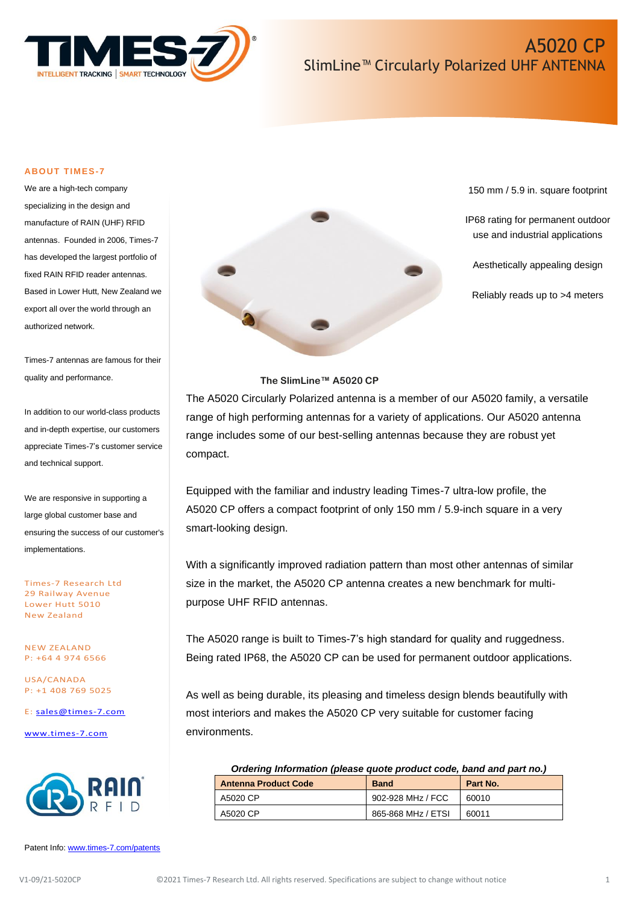

#### **ABOUT TIMES-7**

We are a high-tech company specializing in the design and manufacture of RAIN (UHF) RFID antennas. Founded in 2006, Times-7 has developed the largest portfolio of fixed RAIN RFID reader antennas. Based in Lower Hutt, New Zealand we export all over the world through an authorized network.

Times-7 antennas are famous for their quality and performance.

In addition to our world-class products and in-depth expertise, our customers appreciate Times-7's customer service and technical support.

We are responsive in supporting a large global customer base and ensuring the success of our customer's implementations.

Times-7 Research Ltd 29 Railway Avenue Lower Hutt 5010 New Zealand

NEW ZEALAND P: +64 4 974 6566

USA/CANADA P: +1 408 769 5025

E: [sales@times-7.com](mailto:sales@times-7.com)

[www.times-7.com](http://www.times-7.com/)



Patent Info[: www.times-7.com/patents](http://www.times-7.com/patents)



150 mm / 5.9 in. square footprint

IP68 rating for permanent outdoor use and industrial applications

Aesthetically appealing design

Reliably reads up to >4 meters

#### **The SlimLine™ A5020 CP**

The A5020 Circularly Polarized antenna is a member of our A5020 family, a versatile range of high performing antennas for a variety of applications. Our A5020 antenna range includes some of our best-selling antennas because they are robust yet compact.

Equipped with the familiar and industry leading Times-7 ultra-low profile, the A5020 CP offers a compact footprint of only 150 mm / 5.9-inch square in a very smart-looking design.

With a significantly improved radiation pattern than most other antennas of similar size in the market, the A5020 CP antenna creates a new benchmark for multipurpose UHF RFID antennas.

The A5020 range is built to Times-7's high standard for quality and ruggedness. Being rated IP68, the A5020 CP can be used for permanent outdoor applications.

As well as being durable, its pleasing and timeless design blends beautifully with most interiors and makes the A5020 CP very suitable for customer facing environments.

| Ordering Information (please quote product code, band and part no.) |                    |          |  |
|---------------------------------------------------------------------|--------------------|----------|--|
| <b>Antenna Product Code</b>                                         | <b>Band</b>        | Part No. |  |
| A5020 CP                                                            | 902-928 MHz / FCC  | 60010    |  |
| A5020 CP                                                            | 865-868 MHz / ETSI | 60011    |  |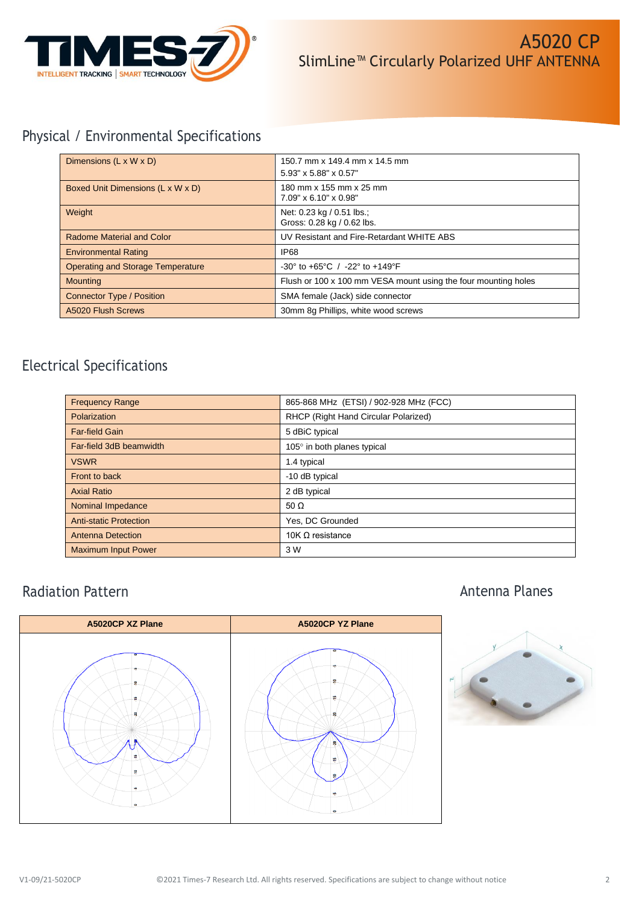

# Physical / Environmental Specifications

| Dimensions $(L \times W \times D)$       | 150.7 mm x 149.4 mm x 14.5 mm<br>5.93" x 5.88" x 0.57"               |
|------------------------------------------|----------------------------------------------------------------------|
| Boxed Unit Dimensions (L x W x D)        | 180 mm x 155 mm x 25 mm<br>$7.09" \times 6.10" \times 0.98"$         |
| Weight                                   | Net: 0.23 kg / 0.51 lbs.;<br>Gross: 0.28 kg / 0.62 lbs.              |
| <b>Radome Material and Color</b>         | UV Resistant and Fire-Retardant WHITE ABS                            |
| <b>Environmental Rating</b>              | IP <sub>68</sub>                                                     |
| <b>Operating and Storage Temperature</b> | $-30^{\circ}$ to $+65^{\circ}$ C / $-22^{\circ}$ to $+149^{\circ}$ F |
| <b>Mounting</b>                          | Flush or 100 x 100 mm VESA mount using the four mounting holes       |
| <b>Connector Type / Position</b>         | SMA female (Jack) side connector                                     |
| A5020 Flush Screws                       | 30mm 8g Phillips, white wood screws                                  |

# Electrical Specifications

| <b>Frequency Range</b>        | 865-868 MHz (ETSI) / 902-928 MHz (FCC) |
|-------------------------------|----------------------------------------|
| Polarization                  | RHCP (Right Hand Circular Polarized)   |
| <b>Far-field Gain</b>         | 5 dBiC typical                         |
| Far-field 3dB beamwidth       | 105° in both planes typical            |
| <b>VSWR</b>                   | 1.4 typical                            |
| Front to back                 | -10 dB typical                         |
| <b>Axial Ratio</b>            | 2 dB typical                           |
| Nominal Impedance             | 50 $\Omega$                            |
| <b>Anti-static Protection</b> | Yes, DC Grounded                       |
| <b>Antenna Detection</b>      | 10K $\Omega$ resistance                |
| <b>Maximum Input Power</b>    | 3 W                                    |

## Radiation Pattern

## Antenna Planes



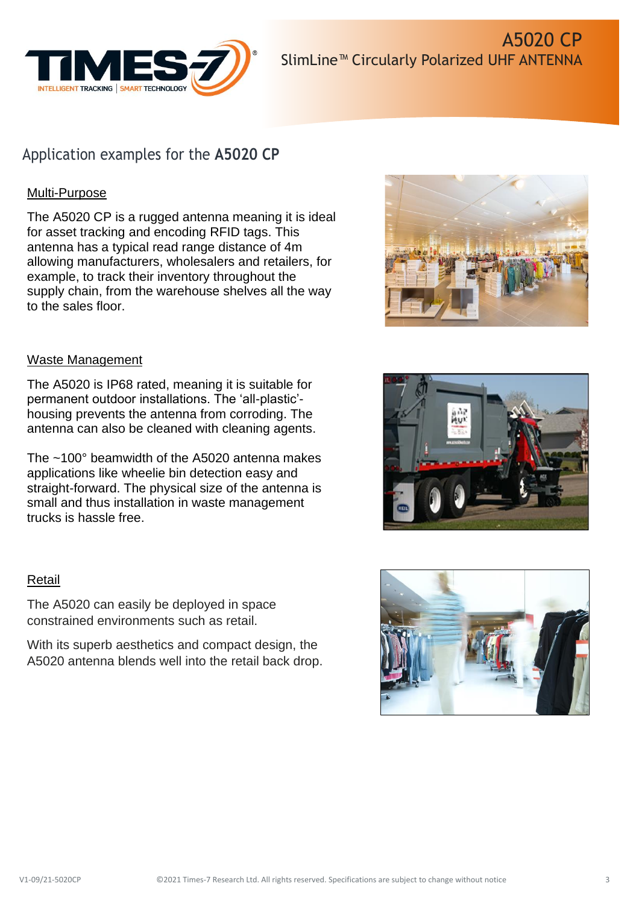

# Application examples for the **A5020 CP**

## Multi-Purpose

The A5020 CP is a rugged antenna meaning it is ideal for asset tracking and encoding RFID tags. This antenna has a typical read range distance of 4m allowing manufacturers, wholesalers and retailers, for example, to track their inventory throughout the supply chain, from the warehouse shelves all the way to the sales floor.

### Waste Management

The A5020 is IP68 rated, meaning it is suitable for permanent outdoor installations. The 'all-plastic' housing prevents the antenna from corroding. The antenna can also be cleaned with cleaning agents.

The ~100° beamwidth of the A5020 antenna makes applications like wheelie bin detection easy and straight-forward. The physical size of the antenna is small and thus installation in waste management trucks is hassle free.

### Retail

The A5020 can easily be deployed in space constrained environments such as retail.

With its superb aesthetics and compact design, the A5020 antenna blends well into the retail back drop.





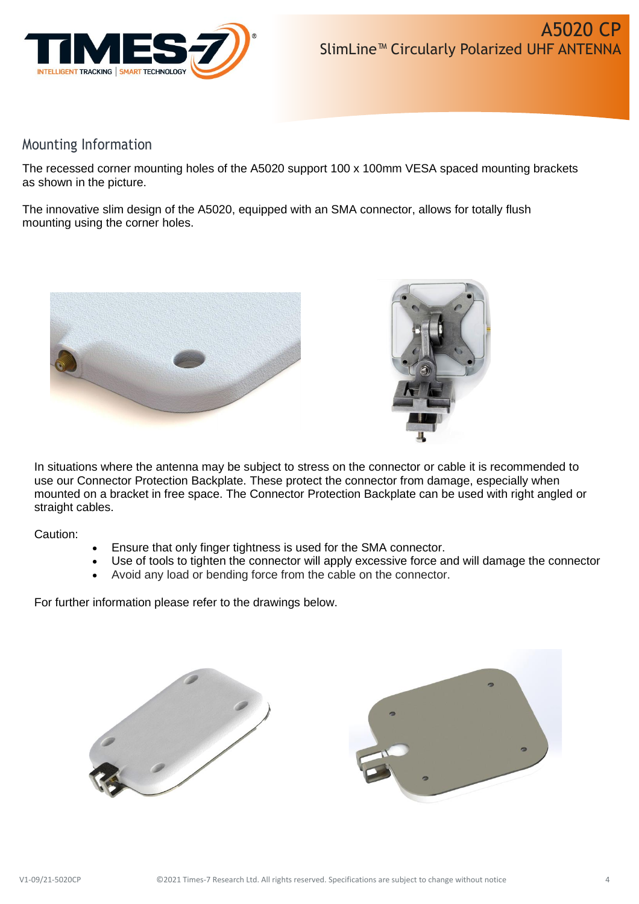

## Mounting Information

The recessed corner mounting holes of the A5020 support 100 x 100mm VESA spaced mounting brackets as shown in the picture.

The innovative slim design of the A5020, equipped with an SMA connector, allows for totally flush mounting using the corner holes.





In situations where the antenna may be subject to stress on the connector or cable it is recommended to use our Connector Protection Backplate. These protect the connector from damage, especially when mounted on a bracket in free space. The Connector Protection Backplate can be used with right angled or straight cables.

Caution:

- Ensure that only finger tightness is used for the SMA connector.
- Use of tools to tighten the connector will apply excessive force and will damage the connector
- Avoid any load or bending force from the cable on the connector.

For further information please refer to the drawings below.

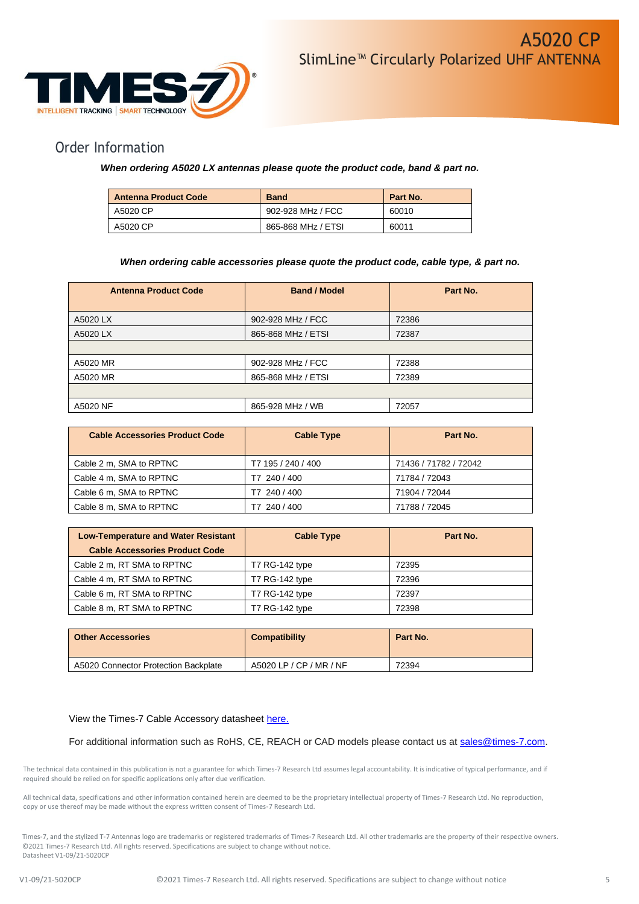

## Order Information

### *When ordering A5020 LX antennas please quote the product code, band & part no.*

| <b>Antenna Product Code</b> | <b>Band</b>        | Part No. |
|-----------------------------|--------------------|----------|
| A5020 CP                    | 902-928 MHz / FCC  | 60010    |
| A5020 CP                    | 865-868 MHz / ETSI | 60011    |

#### *When ordering cable accessories please quote the product code, cable type, & part no.*

| <b>Antenna Product Code</b> | <b>Band / Model</b> | Part No. |
|-----------------------------|---------------------|----------|
| A5020 LX                    | 902-928 MHz / FCC   | 72386    |
| A5020 LX                    | 865-868 MHz / ETSI  | 72387    |
|                             |                     |          |
| A5020 MR                    | 902-928 MHz / FCC   | 72388    |
| A5020 MR                    | 865-868 MHz / ETSI  | 72389    |
|                             |                     |          |
| A5020 NF                    | 865-928 MHz / WB    | 72057    |

| <b>Cable Accessories Product Code</b> | <b>Cable Type</b>  | Part No.              |
|---------------------------------------|--------------------|-----------------------|
| Cable 2 m, SMA to RPTNC               | T7 195 / 240 / 400 | 71436 / 71782 / 72042 |
| Cable 4 m, SMA to RPTNC               | T7 240 / 400       | 71784 / 72043         |
| Cable 6 m, SMA to RPTNC               | T7 240 / 400       | 71904 / 72044         |
| Cable 8 m, SMA to RPTNC               | T7 240 / 400       | 71788 / 72045         |

| <b>Low-Temperature and Water Resistant</b> | <b>Cable Type</b> | Part No. |
|--------------------------------------------|-------------------|----------|
| <b>Cable Accessories Product Code</b>      |                   |          |
| Cable 2 m, RT SMA to RPTNC                 | T7 RG-142 type    | 72395    |
| Cable 4 m, RT SMA to RPTNC                 | T7 RG-142 type    | 72396    |
| Cable 6 m, RT SMA to RPTNC                 | T7 RG-142 type    | 72397    |
| Cable 8 m, RT SMA to RPTNC                 | T7 RG-142 type    | 72398    |

| <b>Other Accessories</b>             | <b>Compatibility</b>    | Part No. |
|--------------------------------------|-------------------------|----------|
| A5020 Connector Protection Backplate | A5020 LP / CP / MR / NF | 72394    |

#### View the Times-7 Cable Accessory datasheet [here.](https://www.times-7.com/Cable%20Datasheet_v1.1_A4.pdf)

For additional information such as RoHS, CE, REACH or CAD models please contact us at [sales@times-7.com.](mailto:sales@times-7.com)

The technical data contained in this publication is not a guarantee for which Times-7 Research Ltd assumes legal accountability. It is indicative of typical performance, and if required should be relied on for specific applications only after due verification.

All technical data, specifications and other information contained herein are deemed to be the proprietary intellectual property of Times-7 Research Ltd. No reproduction, copy or use thereof may be made without the express written consent of Times-7 Research Ltd.

Times-7, and the stylized T-7 Antennas logo are trademarks or registered trademarks of Times-7 Research Ltd. All other trademarks are the property of their respective owners. ©2021 Times-7 Research Ltd. All rights reserved. Specifications are subject to change without notice. Datasheet V1-09/21-5020CP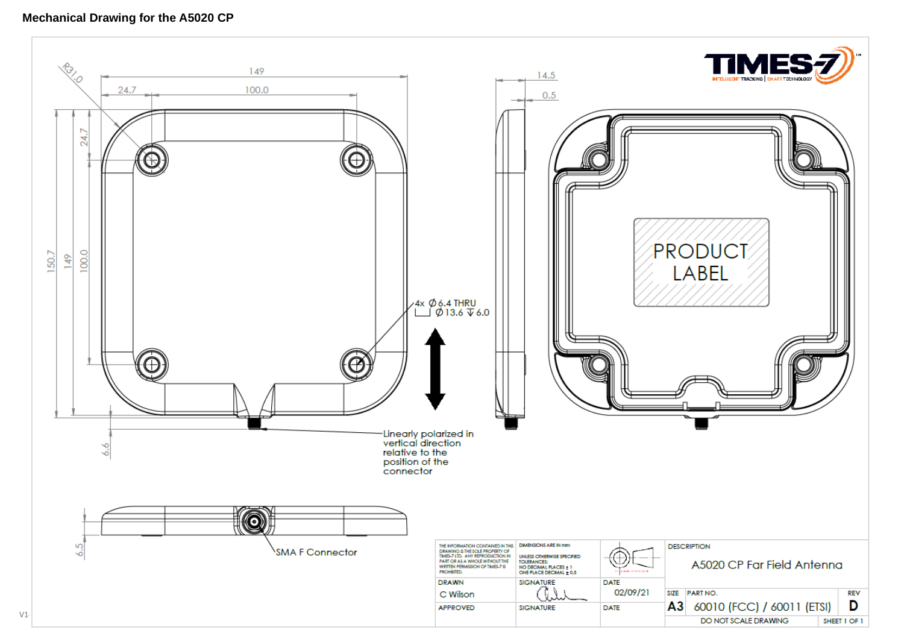